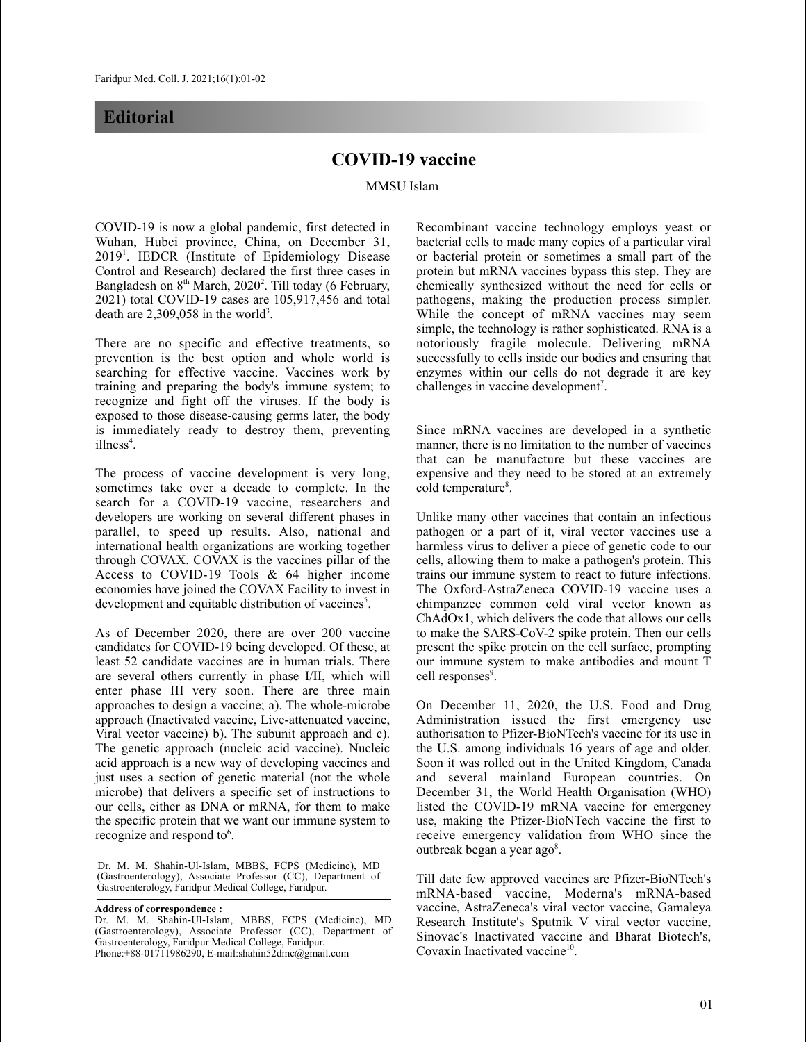## **Editorial**

## **COVID-19 vaccine**

MMSU Islam

COVID-19 is now a global pandemic, first detected in Wuhan, Hubei province, China, on December 31, 2019<sup>1</sup>. IEDCR (Institute of Epidemiology Disease Control and Research) declared the first three cases in Bangladesh on 8<sup>th</sup> March, 2020<sup>2</sup>. Till today (6 February, 2021) total COVID-19 cases are 105,917,456 and total death are  $2,309,058$  in the world<sup>3</sup>.

There are no specific and effective treatments, so prevention is the best option and whole world is searching for effective vaccine. Vaccines work by training and preparing the body's immune system; to recognize and fight off the viruses. If the body is exposed to those disease-causing germs later, the body is immediately ready to destroy them, preventing illness 4 .

The process of vaccine development is very long, sometimes take over a decade to complete. In the search for a COVID-19 vaccine, researchers and developers are working on several different phases in parallel, to speed up results. Also, national and international health organizations are working together through COVAX. COVAX is the vaccines pillar of the Access to COVID-19 Tools & 64 higher income economies have joined the COVAX Facility to invest in development and equitable distribution of vaccines<sup>5</sup>.

As of December 2020, there are over 200 vaccine candidates for COVID-19 being developed. Of these, at least 52 candidate vaccines are in human trials. There are several others currently in phase I/II, which will enter phase III very soon. There are three main approaches to design a vaccine; a). The whole-microbe approach (Inactivated vaccine, Live-attenuated vaccine, Viral vector vaccine) b). The subunit approach and c). The genetic approach (nucleic acid vaccine). Nucleic acid approach is a new way of developing vaccines and just uses a section of genetic material (not the whole microbe) that delivers a specific set of instructions to our cells, either as DNA or mRNA, for them to make the specific protein that we want our immune system to recognize and respond to $6$ .

 Dr. M. M. Shahin-Ul-Islam, MBBS, FCPS (Medicine), MD (Gastroenterology), Associate Professor (CC), Department of Gastroenterology, Faridpur Medical College, Faridpur.

**Address of correspondence :**

Dr. M. M. Shahin-Ul-Islam, MBBS, FCPS (Medicine), MD (Gastroenterology), Associate Professor (CC), Department of Gastroenterology, Faridpur Medical College, Faridpur. Phone:+88-01711986290, E-mail:shahin52dmc@gmail.com

Recombinant vaccine technology employs yeast or bacterial cells to made many copies of a particular viral or bacterial protein or sometimes a small part of the protein but mRNA vaccines bypass this step. They are chemically synthesized without the need for cells or pathogens, making the production process simpler. While the concept of mRNA vaccines may seem simple, the technology is rather sophisticated. RNA is a notoriously fragile molecule. Delivering mRNA successfully to cells inside our bodies and ensuring that enzymes within our cells do not degrade it are key challenges in vaccine development<sup>7</sup>.

Since mRNA vaccines are developed in a synthetic manner, there is no limitation to the number of vaccines that can be manufacture but these vaccines are expensive and they need to be stored at an extremely cold temperature<sup>8</sup>.

Unlike many other vaccines that contain an infectious pathogen or a part of it, viral vector vaccines use a harmless virus to deliver a piece of genetic code to our cells, allowing them to make a pathogen's protein. This trains our immune system to react to future infections. The Oxford-AstraZeneca COVID-19 vaccine uses a chimpanzee common cold viral vector known as ChAdOx1, which delivers the code that allows our cells to make the SARS-CoV-2 spike protein. Then our cells present the spike protein on the cell surface, prompting our immune system to make antibodies and mount T cell responses 9 .

On December 11, 2020, the U.S. Food and Drug Administration issued the first emergency use authorisation to Pfizer-BioNTech's vaccine for its use in the U.S. among individuals 16 years of age and older. Soon it was rolled out in the United Kingdom, Canada and several mainland European countries. On December 31, the World Health Organisation (WHO) listed the COVID-19 mRNA vaccine for emergency use, making the Pfizer-BioNTech vaccine the first to receive emergency validation from WHO since the outbreak began a year ago<sup>8</sup>.

Till date few approved vaccines are Pfizer-BioNTech's mRNA-based vaccine, Moderna's mRNA-based vaccine, AstraZeneca's viral vector vaccine, Gamaleya Research Institute's Sputnik V viral vector vaccine, Sinovac's Inactivated vaccine and Bharat Biotech's, Covaxin Inactivated vaccine<sup>10</sup>.